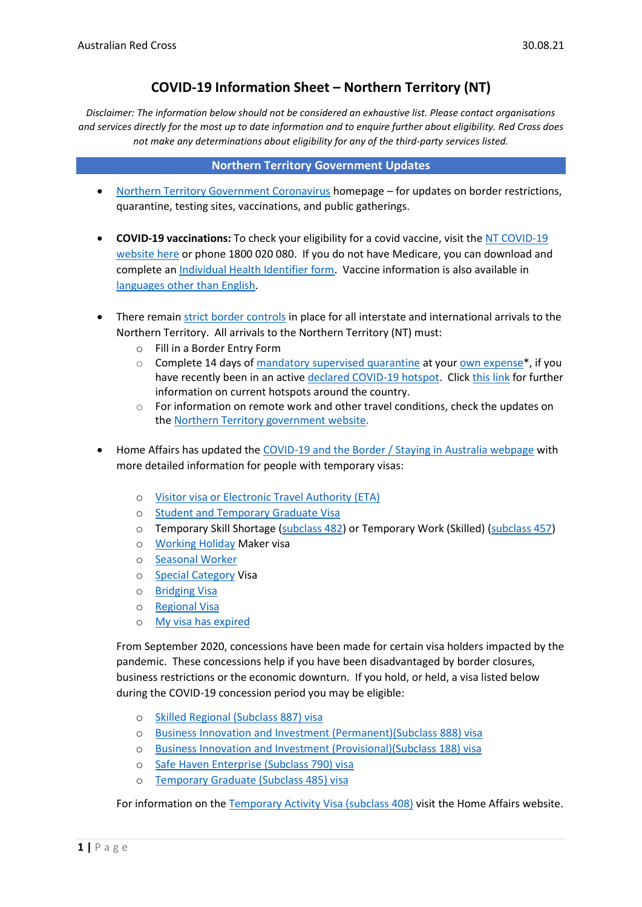# **COVID-19 Information Sheet – Northern Territory (NT)**

*Disclaimer: The information below should not be considered an exhaustive list. Please contact organisations and services directly for the most up to date information and to enquire further about eligibility. Red Cross does not make any determinations about eligibility for any of the third-party services listed.* 

## **Northern Territory Government Updates**

- [Northern Territory Government Coronavirus](https://coronavirus.nt.gov.au/) homepage for updates on border restrictions, quarantine, testing sites, vaccinations, and public gatherings.
- **COVID-19 vaccinations:** To check your eligibility for a covid vaccine, visit the [NT COVID-19](https://coronavirus.nt.gov.au/stay-safe/booking-your-covid-19-vaccine)  [website here](https://coronavirus.nt.gov.au/stay-safe/booking-your-covid-19-vaccine) or phone 1800 020 080. If you do not have Medicare, you can download and complete an [Individual Health Identifier form.](https://www.servicesaustralia.gov.au/individuals/forms/ms003) Vaccine information is also available in [languages other than English.](https://www.health.gov.au/initiatives-and-programs/covid-19-vaccines/covid-19-vaccine-information-in-your-language)
- There remain strict [border controls](https://coronavirus.nt.gov.au/travel/quarantine) in place for all interstate and international arrivals to the Northern Territory. All arrivals to the Northern Territory (NT) must:
	- o Fill in a Border Entry Form
	- $\circ$  Complete 14 days of [mandatory supervised quarantine](https://coronavirus.nt.gov.au/travel/quarantine/mandatory-supervised-quarantine) at your [own expense\\*](https://coronavirus.nt.gov.au/travel/quarantine/quarantine-fee), if you have recently been in an active [declared COVID-19 hotspot.](https://coronavirus.nt.gov.au/travel/quarantine/hotspots-covid-19) Click [this](https://coronavirus.nt.gov.au/travel/quarantine/hotspots-covid-19) link for further information on current hotspots around the country.
	- $\circ$  For information on remote work and other travel conditions, check the updates on th[e Northern Territory government](https://coronavirus.nt.gov.au/travel/remote-work-and-travel) website.
- Home Affairs has updated the COVID-19 and the Border [/ Staying in Australia webpage](https://covid19.homeaffairs.gov.au/staying-australia#13) with more detailed information for people with temporary visas:
	- o [Visitor visa or Electronic Travel Authority \(ETA\)](https://covid19.homeaffairs.gov.au/visitor-visa-or-electronic-travel-authority-eta)
	- o [Student and Temporary](https://covid19.homeaffairs.gov.au/student-and-temporary-graduate-visas) Graduate Visa
	- o Temporary Skill Shortage [\(subclass 482\)](https://covid19.homeaffairs.gov.au/temporary-skill-shortage-visa-subclass-482-or-temporary-work-skilled-visa-subclass-457) or Temporary Work (Skilled) [\(subclass 457\)](https://covid19.homeaffairs.gov.au/temporary-skill-shortage-visa-subclass-482-or-temporary-work-skilled-visa-subclass-457)
	- o [Working Holiday](https://covid19.homeaffairs.gov.au/working-holiday-maker-visa) Maker visa
	- o [Seasonal Worker](https://covid19.homeaffairs.gov.au/seasonal-worker)
	- o [Special Category](https://covid19.homeaffairs.gov.au/special-category-visa) Visa
	- o [Bridging Visa](https://covid19.homeaffairs.gov.au/bridging-visa)
	- o [Regional Visa](https://covid19.homeaffairs.gov.au/regional-visa)
	- o [My visa has expired](https://covid19.homeaffairs.gov.au/my-visa-has-expired)

From September 2020, concessions have been made for certain visa holders impacted by the pandemic. These concessions help if you have been disadvantaged by border closures, business restrictions or the economic downturn. If you hold, or held, a visa listed below during the COVID-19 concession period you may be eligible:

- o [Skilled Regional \(Subclass 887\) visa](https://immi.homeaffairs.gov.au/visas/getting-a-visa/visa-listing/skilled-regional-887)
- o [Business Innovation and Investment \(Permanent\)\(Subclass 888\) visa](https://immi.homeaffairs.gov.au/visas/getting-a-visa/visa-listing/business-innovation-and-investment-888)
- o [Business Innovation and Investment \(Provisional\)\(Subclass 188\) visa](https://immi.homeaffairs.gov.au/visas/getting-a-visa/visa-listing/business-innovation-and-investment-188)
- o [Safe Haven Enterprise \(Subclass 790\) visa](https://immi.homeaffairs.gov.au/visas/getting-a-visa/visa-listing/safe-haven-enterprise-790/safe-haven-enterprise-visa-pathway)
- o [Temporary Graduate \(Subclass 485\) visa](https://immi.homeaffairs.gov.au/visas/getting-a-visa/visa-listing/temporary-graduate-485)

For information on the [Temporary Activity Visa \(subclass 408\)](https://immi.homeaffairs.gov.au/visas/getting-a-visa/visa-listing/temporary-activity-408/australian-government-endorsed-events#Overview) visit the Home Affairs website.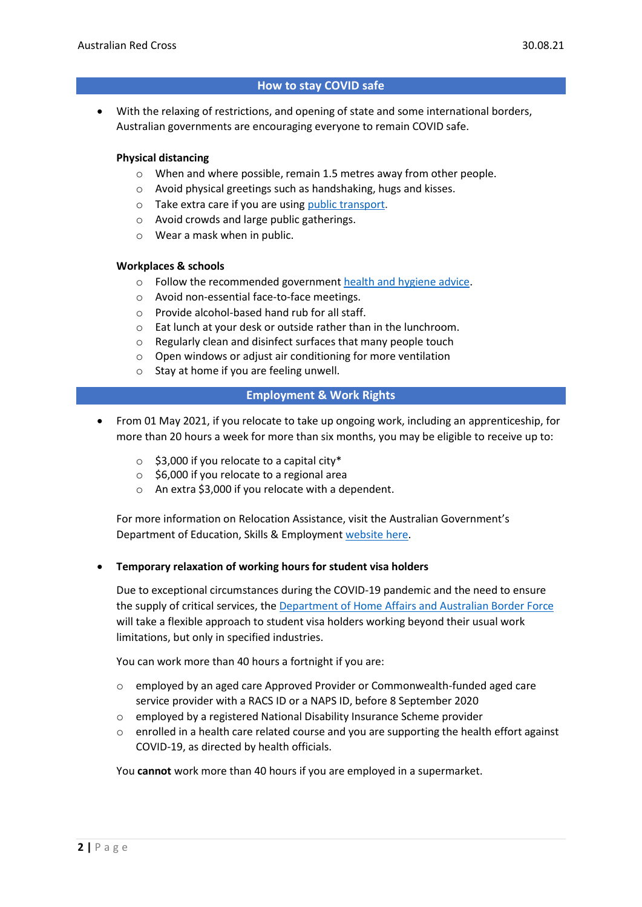# **How to stay COVID safe**

• With the relaxing of restrictions, and opening of state and some international borders, Australian governments are encouraging everyone to remain COVID safe.

### **Physical distancing**

- o When and where possible, remain 1.5 metres away from other people.
- o Avoid physical greetings such as handshaking, hugs and kisses.
- o Take extra care if you are using [public transport.](https://www.infrastructure.gov.au/transport/files/covid19_public_transport_principles_29052020.pdf)
- o Avoid crowds and large public gatherings.
- o Wear a mask when in public.

### **Workplaces & schools**

- o Follow the recommended government [health and hygiene advice.](https://www.health.gov.au/news/health-alerts/novel-coronavirus-2019-ncov-health-alert/how-to-protect-yourself-and-others-from-coronavirus-covid-19/good-hygiene-for-coronavirus-covid-19)
- o Avoid non-essential face-to-face meetings.
- o Provide alcohol-based hand rub for all staff.
- o Eat lunch at your desk or outside rather than in the lunchroom.
- o Regularly clean and disinfect surfaces that many people touch
- o Open windows or adjust air conditioning for more ventilation
- o Stay at home if you are feeling unwell.

## **Employment & Work Rights**

- From 01 May 2021, if you relocate to take up ongoing work, including an apprenticeship, for more than 20 hours a week for more than six months, you may be eligible to receive up to:
	- $\circ$  \$3,000 if you relocate to a capital city\*
	- o \$6,000 if you relocate to a regional area
	- o An extra \$3,000 if you relocate with a dependent.

For more information on Relocation Assistance, visit the Australian Government's Department of Education, Skills & Employmen[t website here.](https://www.dese.gov.au/rattuaj)

### • **Temporary relaxation of working hours for student visa holders**

Due to exceptional circumstances during the COVID-19 pandemic and the need to ensure the supply of critical services, the [Department of Home Affairs and Australian Border Force](https://immi.homeaffairs.gov.au/visas/getting-a-visa/visa-listing/student-500/temporary-relaxation-of-working-hours-for-student-visa-holders) will take a flexible approach to student visa holders working beyond their usual work limitations, but only in specified industries.

You can work more than 40 hours a fortnight if you are:

- o employed by an aged care Approved Provider or Commonwealth-funded aged care service provider with a RACS ID or a NAPS ID, before 8 September 2020
- o employed by a registered National Disability Insurance Scheme provider
- o enrolled in a health care related course and you are supporting the health effort against COVID-19, as directed by health officials.

You **cannot** work more than 40 hours if you are employed in a supermarket.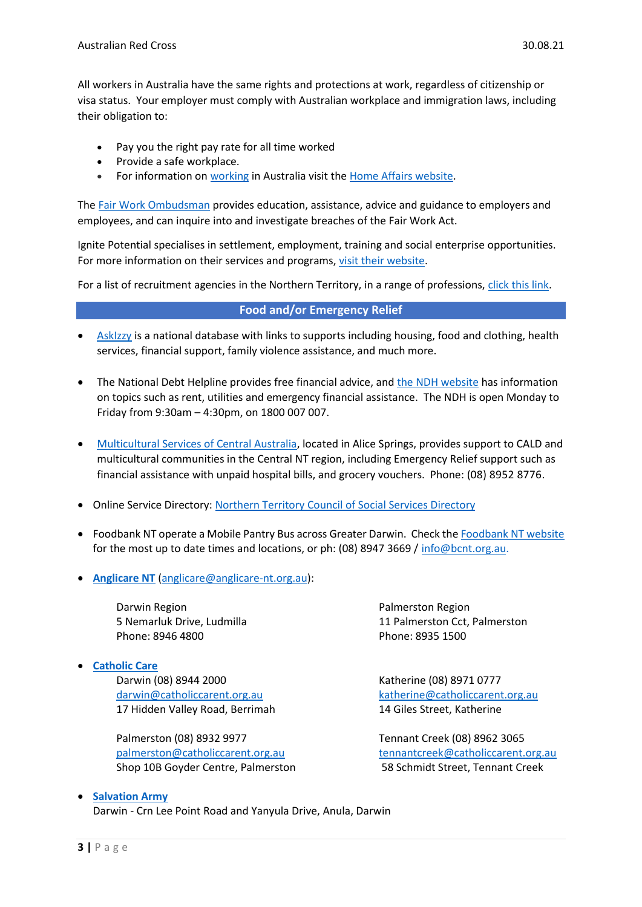All workers in Australia have the same rights and protections at work, regardless of citizenship or visa status. Your employer must comply with Australian workplace and immigration laws, including their obligation to:

- Pay you the right pay rate for all time worked
- Provide a safe workplace.
- For information on [working](https://immi.homeaffairs.gov.au/visas/getting-a-visa/visa-listing/student-500/temporary-relaxation-of-working-hours-for-student-visa-holders) in Australia visit the [Home Affairs website.](https://immi.homeaffairs.gov.au/visas/working-in-australia)

The Fair Work [Ombudsman](https://www.fairwork.gov.au/) provides education, assistance, advice and guidance to employers and employees, and can inquire into and investigate breaches of the Fair Work Act.

Ignite Potential specialises in settlement, employment, training and social enterprise opportunities. For more information on their services and programs, [visit their website.](https://www.ignitepotential.org.au/)

For a list of recruitment agencies in the Northern Territory, in a range of professions[, click this link.](https://theterritory.com.au/work/northern-territory-recruitment-agencies)

# **Food and/or Emergency Relief**

- [AskIzzy](https://askizzy.org.au/) is a national database with links to supports including housing, food and clothing, health services, financial support, family violence assistance, and much more.
- The National Debt Helpline provides free financial advice, and [the NDH website](https://ndh.org.au/) has information on topics such as rent, utilities and emergency financial assistance. The NDH is open Monday to Friday from 9:30am – 4:30pm, on 1800 007 007.
- [Multicultural Services of Central Australia,](https://mcsca.org.au/) located in Alice Springs, provides support to CALD and multicultural communities in the Central NT region, including Emergency Relief support such as financial assistance with unpaid hospital bills, and grocery vouchers. Phone: (08) 8952 8776.
- Online Service Directory: Northern Territory [Council of Social Services Directory](https://ntcoss.org.au/directory)
- Foodbank NT operate a Mobile Pantry Bus across Greater Darwin. Check th[e Foodbank NT website](https://www.foodbank.org.au/NT/food-for-life-program/?state=nt) for the most up to date times and locations, or ph: (08) 8947 3669 [/ info@bcnt.org.au.](mailto:info@bcnt.org.au)
- **[Anglicare NT](https://www.anglicare-nt.org.au/)** [\(anglicare@anglicare-nt.org.au\)](mailto:anglicare@anglicare-nt.org.au):

Darwin Region 5 Nemarluk Drive, Ludmilla Phone: 8946 4800

• **[Catholic Care](https://www.catholiccarent.org.au/)**

Darwin (08) 8944 2000 [darwin@catholiccarent.org.au](mailto:darwin@catholiccarent.org.au) 17 Hidden Valley Road, Berrimah

Palmerston (08) 8932 9977 [palmerston@catholiccarent.org.au](mailto:palmerston@catholiccarent.org.au) Shop 10B Goyder Centre, Palmerston Palmerston Region 11 Palmerston Cct, Palmerston Phone: 8935 1500

Katherine (08) 8971 0777 [katherine@catholiccarent.org.au](mailto:katherine@catholiccarent.org.au) 14 Giles Street, Katherine

Tennant Creek (08) 8962 3065 [tennantcreek@catholiccarent.org.au](mailto:tennantcreek@catholiccarent.org.au) 58 Schmidt Street, Tennant Creek

## • **[Salvation Army](https://www.salvationarmy.org.au/locations/northern-territory/)** Darwin - Crn Lee Point Road and Yanyula Drive, Anula, Darwin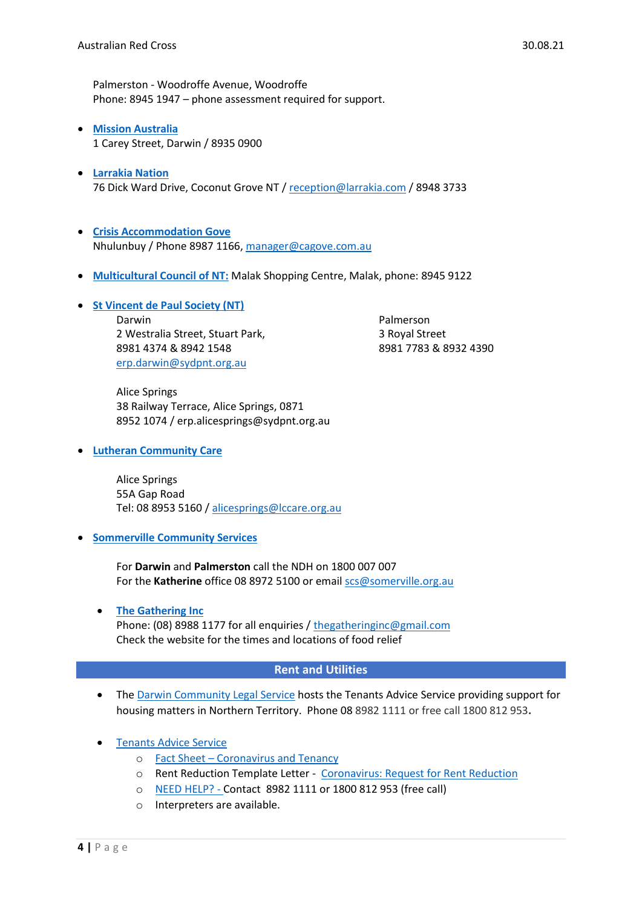Palmerston - Woodroffe Avenue, Woodroffe Phone: 8945 1947 – phone assessment required for support.

- **[Mission Australia](https://www.missionaustralia.com.au/contact-us/nt)** 1 Carey Street, Darwin / 8935 0900
- **[Larrakia Nation](file://///rcau.org.au/Citrix/FolderRedirection/nhoagland/Desktop/S&T%20Info%20Sheets/Larrakia%20Nation)**  76 Dick Ward Drive, Coconut Grove NT / [reception@larrakia.com](mailto:reception@larrakia.com) / 8948 3733
- **[Crisis Accommodation Gove](https://ntcoss.org.au/directory/listing/crisis-accommodation-gove-inc)** Nhulunbuy / Phone 8987 1166, [manager@cagove.com.au](mailto:manager@cagove.com.au)
- **[Multicultural Council of NT:](https://www.mcnt.org.au/)** Malak Shopping Centre, Malak, phone: 8945 9122
- **[St Vincent de Paul Society \(NT\)](https://www.vinnies.org.au/page/Contacts/NT/)** Darwin 2 Westralia Street, Stuart Park, 8981 4374 & 8942 1548 [erp.darwin@sydpnt.org.au](mailto:erp.darwin@sydpnt.org.au)

Palmerson 3 Royal Street 8981 7783 & 8932 4390

Alice Springs 38 Railway Terrace, Alice Springs, 0871 8952 1074 / erp.alicesprings@sydpnt.org.au

• **[Lutheran Community Care](https://www.lccare.org.au/)** 

Alice Springs 55A Gap Road Tel: 08 8953 5160 / [alicesprings@lccare.org.au](mailto:alicesprings@lccare.org.au)

• **[Sommerville Community Services](https://www.somerville.org.au/)**

For **Darwin** and **Palmerston** call the NDH on 1800 007 007 For the **Katherine** office 08 8972 5100 or email [scs@somerville.org.au](mailto:scs@somerville.org.au)

• **[The Gathering Inc](https://www.thegatheringinc.org.au/)** Phone: (08) 8988 1177 for all enquiries / [thegatheringinc@gmail.com](mailto:thegatheringinc@gmail.com) Check the website for the times and locations of food relief

# **Rent and Utilities**

- The [Darwin Community Legal Service](https://www.dcls.org.au/about-us/) hosts the Tenants Advice Service providing support for housing matters in Northern Territory. Phone 08 8982 1111 or free call 1800 812 953**.**
- [Tenants Advice Service](https://www.dcls.org.au/tenants-advice/)
	- o Fact Sheet [Coronavirus and Tenancy](https://www.dcls.org.au/wp-content/uploads/2020/03/Coronavirus-and-tenancy.pdf)
	- o Rent Reduction Template Letter [Coronavirus: Request for Rent Reduction](https://www.dcls.org.au/wp-content/uploads/2020/03/Request-for-rent-reduction.docx)
	- o [NEED HELP?](https://www.dcls.org.au/tenants-advice/tenancy-factsheets/) Contact 8982 1111 or 1800 812 953 (free call)
	- o Interpreters are available.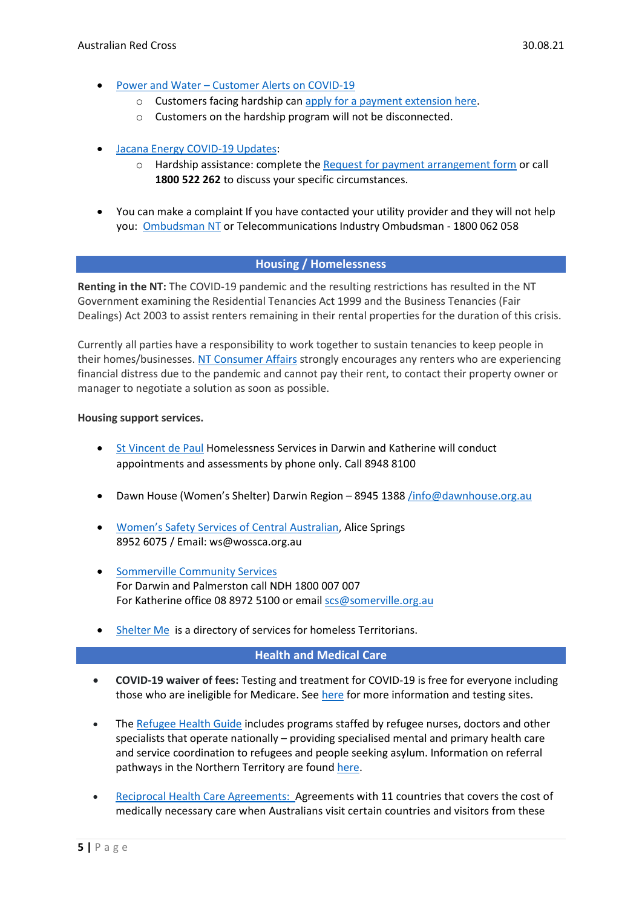- Power and Water [Customer Alerts on COVID-19](https://www.powerwater.com.au/about/news-and-media/alerts/customer-bulletin/information-about-covid-19)
	- o Customers facing hardship can [apply for a payment extension here.](https://www.powerwater.com.au/customers/online-services/Apply-for-a-payment-extension)
	- o Customers on the hardship program will not be disconnected.
- [Jacana Energy COVID-19 Updates:](https://www.jacanaenergy.com.au/news_and_publications/covid-19-updates)
	- o Hardship assistance: complete the [Request for payment arrangement form](https://www.jacanaenergy.com.au/news_and_publications/forms/payment_plan) or call **1800 522 262** to discuss your specific circumstances.
- You can make a complaint If you have contacted your utility provider and they will not help you: [Ombudsman NT](https://australianredcross.sharepoint.com/sites/RedCrossMSP/Shared%20Documents/COVID-19/Advocacy%20+%20funding%20tools/ombudsman.nt.gov.au) or Telecommunications Industry Ombudsman - 1800 062 058

## **Housing / Homelessness**

**Renting in the NT:** The COVID-19 pandemic and the resulting restrictions has resulted in the NT Government examining the Residential Tenancies Act 1999 and the Business Tenancies (Fair Dealings) Act 2003 to assist renters remaining in their rental properties for the duration of this crisis.

Currently all parties have a responsibility to work together to sustain tenancies to keep people in their homes/businesses[. NT Consumer Affairs](https://consumeraffairs.nt.gov.au/rental-changes-due-to-covid-19) strongly encourages any renters who are experiencing financial distress due to the pandemic and cannot pay their rent, to contact their property owner or manager to negotiate a solution as soon as possible.

### **Housing support services.**

- [St Vincent de Paul](https://www.vinnies.org.au/page/Contacts/NT/?gclid=EAIaIQobChMIrM3mzfuK6QIVhJOPCh2UKgv6EAAYASAAEgIcafD_BwE) Homelessness Services in Darwin and Katherine will conduct appointments and assessments by phone only. Call 8948 8100
- Dawn House (Women's Shelter) Darwin Region 8945 1388 [/info@dawnhouse.org.au](mailto:/info@dawnhouse.org.au)
- Women'[s Safety Services of Central Australian,](https://www.wossca.org.au/) Alice Springs 8952 6075 / Email: ws@wossca.org.au
- [Sommerville Community Services](https://www.somerville.org.au/) For Darwin and Palmerston call NDH 1800 007 007 For Katherine office 08 8972 5100 or emai[l scs@somerville.org.au](mailto:scs@somerville.org.au)
- [Shelter Me](https://www.shelterme.org.au/) is a directory of services for homeless Territorians.

### **Health and Medical Care**

- **COVID-19 waiver of fees:** Testing and treatment for COVID-19 is free for everyone including those who are ineligible for Medicare. See [here](https://coronavirus.nt.gov.au/stay-safe/testing) for more information and testing sites.
- Th[e Refugee Health Guide](https://refugeehealthguide.org.au/referrals/) includes programs staffed by refugee nurses, doctors and other specialists that operate nationally – providing specialised mental and primary health care and service coordination to refugees and people seeking asylum. Information on referral pathways in the Northern Territory are foun[d here.](https://refugeehealthguide.org.au/referrals/northern-territory/)
- [Reciprocal Health Care Agreements:](https://www.servicesaustralia.gov.au/individuals/services/medicare/reciprocal-health-care-agreements) Agreements with 11 countries that covers the cost of medically necessary care when Australians visit certain countries and visitors from these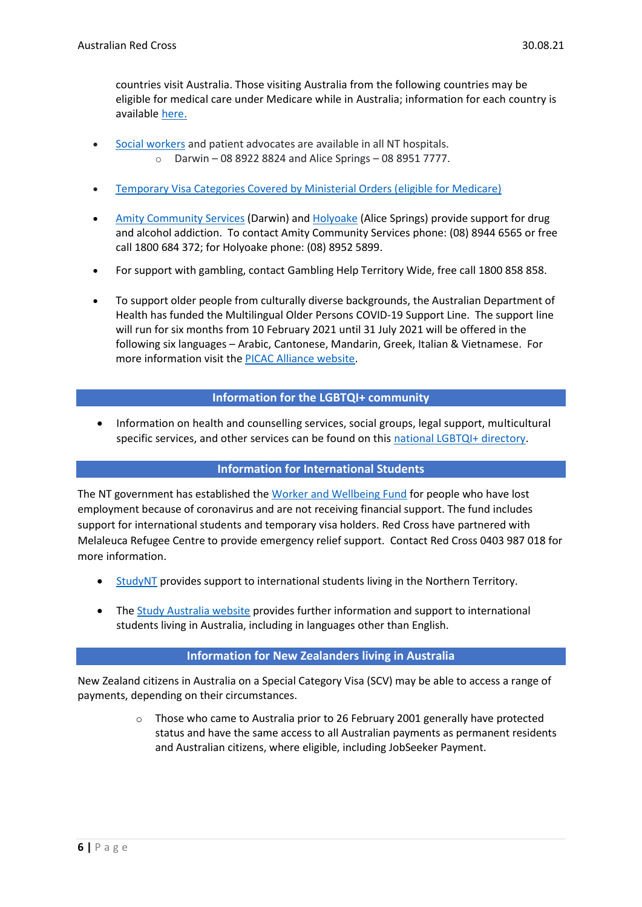countries visit Australia. Those visiting Australia from the following countries may be eligible for medical care under Medicare while in Australia; information for each country is available [here.](https://www.servicesaustralia.gov.au/individuals/services/medicare/reciprocal-health-care-agreements/when-you-visit-australia)

- [Social workers](https://nt.gov.au/wellbeing/hospitals-health-services/general-hospital-services/social-work) and patient advocates are available in all NT hospitals. o Darwin – 08 8922 8824 and Alice Springs – 08 8951 7777.
- [Temporary Visa Categories Covered by Ministerial Orders \(eligible for Medicare\)](https://www.servicesaustralia.gov.au/individuals/subjects/how-enrol-and-get-started-medicare/enrolling-medicare/how-enrol-medicare-if-youre-temporary-resident-covered-ministerial-order)
- [Amity Community Services](https://aus01.safelinks.protection.outlook.com/?url=https%3A%2F%2Fwww.amity.org.au%2F&data=04%7C01%7Csobrien%40redcross.org.au%7Cc2a50fe18f23448fede108d89283a2e9%7C1ac0eafd88864ec7afd229c150fc3208%7C0%7C0%7C637420441401141369%7CUnknown%7CTWFpbGZsb3d8eyJWIjoiMC4wLjAwMDAiLCJQIjoiV2luMzIiLCJBTiI6Ik1haWwiLCJXVCI6Mn0%3D%7C1000&sdata=a%2BQrotwVpuj6Zd4ckEnACnus3KH2KyUKq0559HANIbg%3D&reserved=0) (Darwin) and [Holyoake](https://aus01.safelinks.protection.outlook.com/?url=https%3A%2F%2Fholyoake-alice.org.au%2F&data=04%7C01%7Csobrien%40redcross.org.au%7Cc2a50fe18f23448fede108d89283a2e9%7C1ac0eafd88864ec7afd229c150fc3208%7C0%7C0%7C637420441401151374%7CUnknown%7CTWFpbGZsb3d8eyJWIjoiMC4wLjAwMDAiLCJQIjoiV2luMzIiLCJBTiI6Ik1haWwiLCJXVCI6Mn0%3D%7C1000&sdata=Zg9bZkRVTYmm%2BXB6Z%2B1UVsLQdVFd5ZhbCGFFgGEusV8%3D&reserved=0) (Alice Springs) provide support for drug and alcohol addiction. To contact Amity Community Services phone: (08) 8944 6565 or free call 1800 684 372; for Holyoake phone: (08) 8952 5899.
- For support with gambling, contact Gambling Help Territory Wide, free call 1800 858 858.
- To support older people from culturally diverse backgrounds, the Australian Department of Health has funded the Multilingual Older Persons COVID-19 Support Line. The support line will run for six months from 10 February 2021 until 31 July 2021 will be offered in the following six languages – Arabic, Cantonese, Mandarin, Greek, Italian & Vietnamese. For more information visit the [PICAC Alliance website.](http://www.picacalliance.org/multilingual-older-persons-covid-19-support-line/)

## **Information for the LGBTQI+ community**

• Information on health and counselling services, social groups, legal support, multicultural specific services, and other services can be found on this [national LGBTQI+ directory.](https://docs.google.com/spreadsheets/d/1CTv8NSkImdhclvS_ZJ61t1k33KPE5f4PF0wWApP6aFk/edit#gid=1868596043)

### **Information for International Students**

The NT government has established the [Worker and Wellbeing Fund](https://coronavirus.nt.gov.au/business-and-work/wellbeing-support) for people who have lost employment because of coronavirus and are not receiving financial support. The fund includes support for international students and temporary visa holders. Red Cross have partnered with Melaleuca Refugee Centre to provide emergency relief support. Contact Red Cross 0403 987 018 for more information.

- [StudyNT](https://theterritory.com.au/) provides support to international students living in the Northern Territory.
- The [Study Australia website](https://www.studyinaustralia.gov.au/English/student-support) provides further information and support to international students living in Australia, including in languages other than English.

### **Information for New Zealanders living in Australia**

New Zealand citizens in Australia on a Special Category Visa (SCV) may be able to access a range of payments, depending on their circumstances.

> $\circ$  Those who came to Australia prior to 26 February 2001 generally have protected status and have the same access to all Australian payments as permanent residents and Australian citizens, where eligible, including JobSeeker Payment.